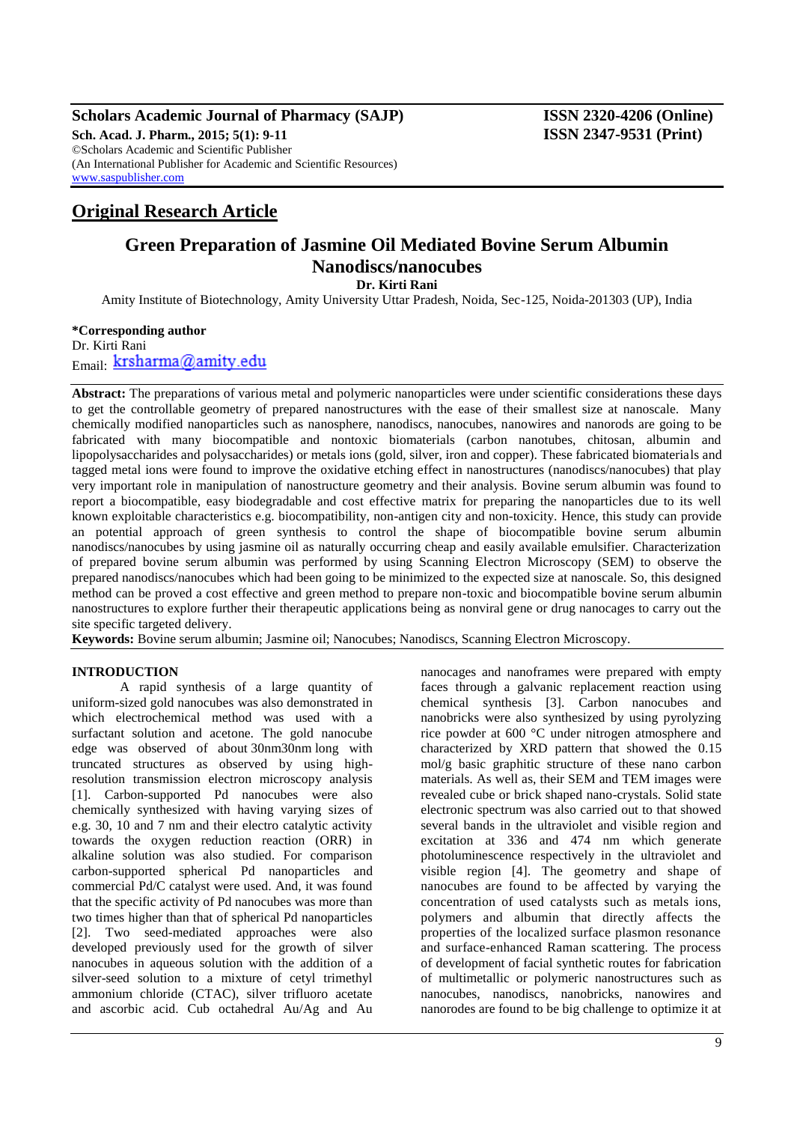#### **Scholars Academic Journal of Pharmacy (SAJP) ISSN 2320-4206 (Online) Sch. Acad. J. Pharm., 2015; 5(1): 9-11 ISSN 2347-9531 (Print)** ©Scholars Academic and Scientific Publisher (An International Publisher for Academic and Scientific Resources) [www.saspublisher.com](http://www.saspublisher.com/)

## **Original Research Article**

# **Green Preparation of Jasmine Oil Mediated Bovine Serum Albumin Nanodiscs/nanocubes**

**Dr. Kirti Rani**

Amity Institute of Biotechnology, Amity University Uttar Pradesh, Noida, Sec-125, Noida-201303 (UP), India

## **\*Corresponding author**

Dr. Kirti Rani Email: krsharma@amity.edu

**Abstract:** The preparations of various metal and polymeric nanoparticles were under scientific considerations these days to get the controllable geometry of prepared nanostructures with the ease of their smallest size at nanoscale. Many chemically modified nanoparticles such as nanosphere, nanodiscs, nanocubes, nanowires and nanorods are going to be fabricated with many biocompatible and nontoxic biomaterials (carbon nanotubes, chitosan, albumin and lipopolysaccharides and polysaccharides) or metals ions (gold, silver, iron and copper). These fabricated biomaterials and tagged metal ions were found to improve the oxidative etching effect in nanostructures (nanodiscs/nanocubes) that play very important role in manipulation of nanostructure geometry and their analysis. Bovine serum albumin was found to report a biocompatible, easy biodegradable and cost effective matrix for preparing the nanoparticles due to its well known exploitable characteristics e.g. biocompatibility, non-antigen city and non-toxicity. Hence, this study can provide an potential approach of green synthesis to control the shape of biocompatible bovine serum albumin nanodiscs/nanocubes by using jasmine oil as naturally occurring cheap and easily available emulsifier. Characterization of prepared bovine serum albumin was performed by using Scanning Electron Microscopy (SEM) to observe the prepared nanodiscs/nanocubes which had been going to be minimized to the expected size at nanoscale. So, this designed method can be proved a cost effective and green method to prepare non-toxic and biocompatible bovine serum albumin nanostructures to explore further their therapeutic applications being as nonviral gene or drug nanocages to carry out the site specific targeted delivery.

**Keywords:** Bovine serum albumin; Jasmine oil; Nanocubes; Nanodiscs, Scanning Electron Microscopy.

#### **INTRODUCTION**

A rapid synthesis of a large quantity of uniform-sized gold nanocubes was also demonstrated in which electrochemical method was used with a surfactant solution and acetone. The gold nanocube edge was observed of about 30nm30nm long with truncated structures as observed by using highresolution transmission electron microscopy analysis [1]. Carbon-supported Pd nanocubes were also chemically synthesized with having varying sizes of e.g. 30, 10 and 7 nm and their electro catalytic activity towards the oxygen reduction reaction (ORR) in alkaline solution was also studied. For comparison carbon-supported spherical Pd nanoparticles and commercial Pd/C catalyst were used. And, it was found that the specific activity of Pd nanocubes was more than two times higher than that of spherical Pd nanoparticles [2]. Two seed-mediated approaches were also developed previously used for the growth of silver nanocubes in aqueous solution with the addition of a silver-seed solution to a mixture of cetyl trimethyl ammonium chloride (CTAC), silver trifluoro acetate and ascorbic acid. Cub octahedral Au/Ag and Au

nanocages and nanoframes were prepared with empty faces through a galvanic replacement reaction using chemical synthesis [3]. Carbon nanocubes and nanobricks were also synthesized by using pyrolyzing rice powder at 600 °C under nitrogen atmosphere and characterized by XRD pattern that showed the 0.15 mol/g basic graphitic structure of these nano carbon materials. As well as, their SEM and TEM images were revealed cube or brick shaped nano-crystals. Solid state electronic spectrum was also carried out to that showed several bands in the ultraviolet and visible region and excitation at 336 and 474 nm which generate photoluminescence respectively in the ultraviolet and visible region [4]. The geometry and shape of nanocubes are found to be affected by varying the concentration of used catalysts such as metals ions, polymers and albumin that directly affects the properties of the localized surface plasmon resonance and surface-enhanced Raman scattering. The process of development of facial synthetic routes for fabrication of multimetallic or polymeric nanostructures such as nanocubes, nanodiscs, nanobricks, nanowires and nanorodes are found to be big challenge to optimize it at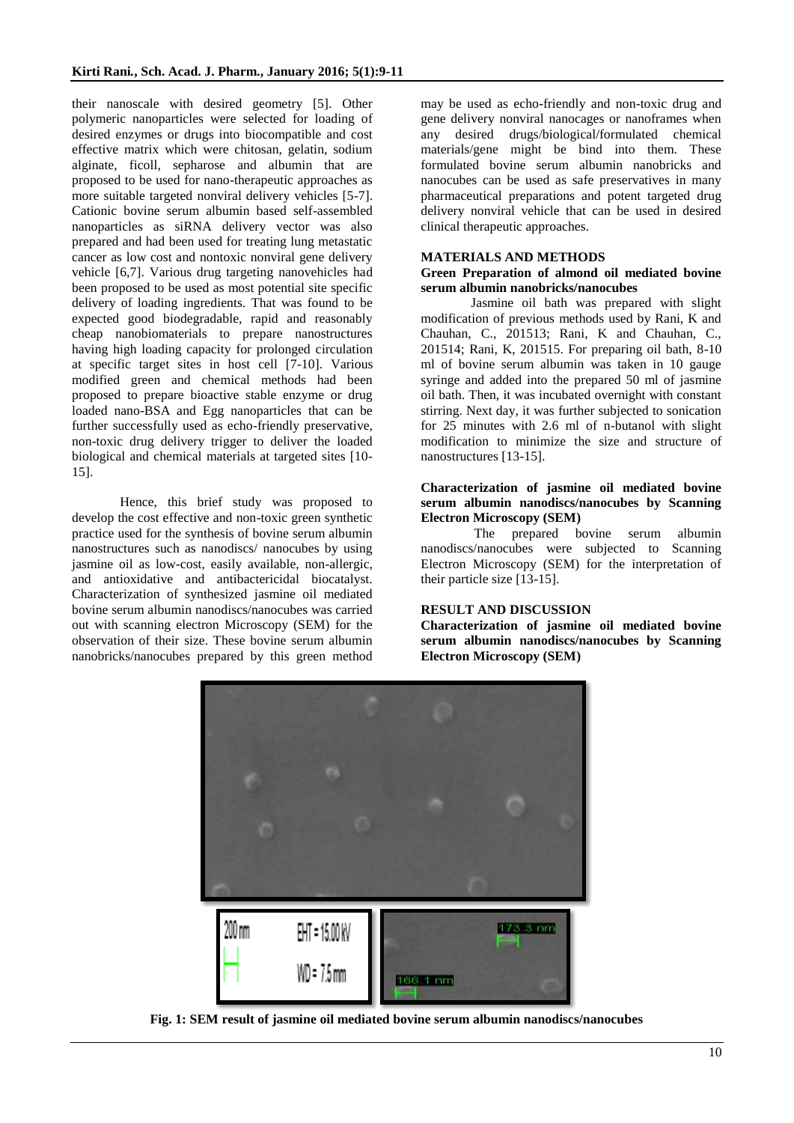their nanoscale with desired geometry [5]. Other polymeric nanoparticles were selected for loading of desired enzymes or drugs into biocompatible and cost effective matrix which were chitosan, gelatin, sodium alginate, ficoll, sepharose and albumin that are proposed to be used for nano-therapeutic approaches as more suitable targeted nonviral delivery vehicles [5-7]. Cationic bovine serum albumin based self-assembled nanoparticles as siRNA delivery vector was also prepared and had been used for treating lung metastatic cancer as low cost and nontoxic nonviral gene delivery vehicle [6,7]. Various drug targeting nanovehicles had been proposed to be used as most potential site specific delivery of loading ingredients. That was found to be expected good biodegradable, rapid and reasonably cheap nanobiomaterials to prepare nanostructures having high loading capacity for prolonged circulation at specific target sites in host cell [7-10]. Various modified green and chemical methods had been proposed to prepare bioactive stable enzyme or drug loaded nano-BSA and Egg nanoparticles that can be further successfully used as echo-friendly preservative, non-toxic drug delivery trigger to deliver the loaded biological and chemical materials at targeted sites [10- 15].

Hence, this brief study was proposed to develop the cost effective and non-toxic green synthetic practice used for the synthesis of bovine serum albumin nanostructures such as nanodiscs/ nanocubes by using jasmine oil as low-cost, easily available, non-allergic, and antioxidative and antibactericidal biocatalyst. Characterization of synthesized jasmine oil mediated bovine serum albumin nanodiscs/nanocubes was carried out with scanning electron Microscopy (SEM) for the observation of their size. These bovine serum albumin nanobricks/nanocubes prepared by this green method

may be used as echo-friendly and non-toxic drug and gene delivery nonviral nanocages or nanoframes when any desired drugs/biological/formulated chemical materials/gene might be bind into them. These formulated bovine serum albumin nanobricks and nanocubes can be used as safe preservatives in many pharmaceutical preparations and potent targeted drug delivery nonviral vehicle that can be used in desired clinical therapeutic approaches.

#### **MATERIALS AND METHODS**

#### **Green Preparation of almond oil mediated bovine serum albumin nanobricks/nanocubes**

Jasmine oil bath was prepared with slight modification of previous methods used by Rani, K and Chauhan, C., 201513; Rani, K and Chauhan, C., 201514; Rani, K, 201515. For preparing oil bath, 8-10 ml of bovine serum albumin was taken in 10 gauge syringe and added into the prepared 50 ml of jasmine oil bath. Then, it was incubated overnight with constant stirring. Next day, it was further subjected to sonication for 25 minutes with 2.6 ml of n-butanol with slight modification to minimize the size and structure of nanostructures [13-15].

#### **Characterization of jasmine oil mediated bovine serum albumin nanodiscs/nanocubes by Scanning Electron Microscopy (SEM)**

 The prepared bovine serum albumin nanodiscs/nanocubes were subjected to Scanning Electron Microscopy (SEM) for the interpretation of their particle size [13-15].

#### **RESULT AND DISCUSSION**

**Characterization of jasmine oil mediated bovine serum albumin nanodiscs/nanocubes by Scanning Electron Microscopy (SEM)** 



**Fig. 1: SEM result of jasmine oil mediated bovine serum albumin nanodiscs/nanocubes**